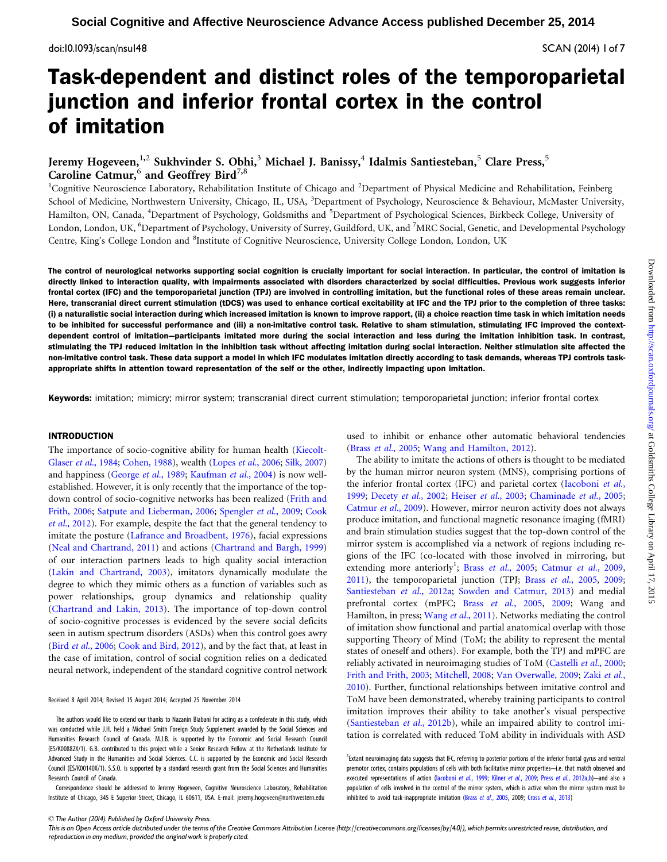doi:10.1093/scan/nsu148 SCAN (2014) 1 of 7

# Task-dependent and distinct roles of the temporoparietal junction and inferior frontal cortex in the control of imitation

# Jeremy Hogeveen,<sup>1,2</sup> Sukhvinder S. Obhi,<sup>3</sup> Michael J. Banissy,<sup>4</sup> Idalmis Santiesteban,<sup>5</sup> Clare Press,<sup>5</sup> Caroline Catmur,  $6$  and Geoffrey Bird<sup>7,8</sup>

<sup>1</sup>Cognitive Neuroscience Laboratory, Rehabilitation Institute of Chicago and <sup>2</sup>Department of Physical Medicine and Rehabilitation, Feinberg School of Medicine, Northwestern University, Chicago, IL, USA, <sup>3</sup>Department of Psychology, Neuroscience & Behaviour, McMaster University, Hamilton, ON, Canada, <sup>4</sup>Department of Psychology, Goldsmiths and <sup>5</sup>Department of Psychological Sciences, Birkbeck College, University of London, London, UK, <sup>6</sup>Department of Psychology, University of Surrey, Guildford, UK, and <sup>7</sup>MRC Social, Genetic, and Developmental Psychology Centre, King's College London and <sup>8</sup>Institute of Cognitive Neuroscience, University College London, London, UK

The control of neurological networks supporting social cognition is crucially important for social interaction. In particular, the control of imitation is directly linked to interaction quality, with impairments associated with disorders characterized by social difficulties. Previous work suggests inferior frontal cortex (IFC) and the temporoparietal junction (TPJ) are involved in controlling imitation, but the functional roles of these areas remain unclear. Here, transcranial direct current stimulation (tDCS) was used to enhance cortical excitability at IFC and the TPJ prior to the completion of three tasks: (i) a naturalistic social interaction during which increased imitation is known to improve rapport, (ii) a choice reaction time task in which imitation needs to be inhibited for successful performance and (iii) a non-imitative control task. Relative to sham stimulation, stimulating IFC improved the contextdependent control of imitation—participants imitated more during the social interaction and less during the imitation inhibition task. In contrast, stimulating the TPJ reduced imitation in the inhibition task without affecting imitation during social interaction. Neither stimulation site affected the non-imitative control task. These data support a model in which IFC modulates imitation directly according to task demands, whereas TPJ controls taskappropriate shifts in attention toward representation of the self or the other, indirectly impacting upon imitation.

Keywords: imitation; mimicry; mirror system; transcranial direct current stimulation; temporoparietal junction; inferior frontal cortex

# INTRODUCTION

The importance of socio-cognitive ability for human health ([Kiecolt-](#page-5-0)[Glaser](#page-5-0) et al., 1984; [Cohen, 1988](#page-5-0)), wealth [\(Lopes](#page-5-0) et al., 2006; [Silk, 2007](#page-6-0)) and happiness [\(George](#page-5-0) et al., 1989; [Kaufman](#page-5-0) et al., 2004) is now wellestablished. However, it is only recently that the importance of the topdown control of socio-cognitive networks has been realized [\(Frith and](#page-5-0) [Frith, 2006](#page-5-0); [Satpute and Lieberman, 2006;](#page-6-0) [Spengler](#page-6-0) et al., 2009; [Cook](#page-5-0) et al.[, 2012\)](#page-5-0). For example, despite the fact that the general tendency to imitate the posture ([Lafrance and Broadbent, 1976](#page-5-0)), facial expressions ([Neal and Chartrand, 2011\)](#page-5-0) and actions [\(Chartrand and Bargh, 1999](#page-5-0)) of our interaction partners leads to high quality social interaction ([Lakin and Chartrand, 2003](#page-5-0)), imitators dynamically modulate the degree to which they mimic others as a function of variables such as power relationships, group dynamics and relationship quality ([Chartrand and Lakin, 2013](#page-5-0)). The importance of top-down control of socio-cognitive processes is evidenced by the severe social deficits seen in autism spectrum disorders (ASDs) when this control goes awry (Bird et al.[, 2006](#page-5-0); [Cook and Bird, 2012\)](#page-5-0), and by the fact that, at least in the case of imitation, control of social cognition relies on a dedicated neural network, independent of the standard cognitive control network

Received 8 April 2014; Revised 15 August 2014; Accepted 25 November 2014

The authors would like to extend our thanks to Nazanin Biabani for acting as a confederate in this study, which was conducted while J.H. held a Michael Smith Foreign Study Supplement awarded by the Social Sciences and Humanities Research Council of Canada. M.J.B. is supported by the Economic and Social Research Council (ES/K00882X/1). G.B. contributed to this project while a Senior Research Fellow at the Netherlands Institute for Advanced Study in the Humanities and Social Sciences. C.C. is supported by the Economic and Social Research Council (ES/K00140X/1). S.S.O. is supported by a standard research grant from the Social Sciences and Humanities Research Council of Canada.

Correspondence should be addressed to Jeremy Hogeveen, Cognitive Neuroscience Laboratory, Rehabilitation Institute of Chicago, 345 E Superior Street, Chicago, IL 60611, USA. E-mail: jeremy.hogeveen@northwestern.edu

used to inhibit or enhance other automatic behavioral tendencies (Brass et al.[, 2005;](#page-5-0) [Wang and Hamilton, 2012](#page-6-0)).

The ability to imitate the actions of others is thought to be mediated by the human mirror neuron system (MNS), comprising portions of the inferior frontal cortex (IFC) and parietal cortex [\(Iacoboni](#page-5-0) et al., [1999;](#page-5-0) [Decety](#page-5-0) et al., 2002; [Heiser](#page-5-0) et al., 2003; [Chaminade](#page-5-0) et al., 2005; [Catmur](#page-5-0) et al., 2009). However, mirror neuron activity does not always produce imitation, and functional magnetic resonance imaging (fMRI) and brain stimulation studies suggest that the top-down control of the mirror system is accomplished via a network of regions including regions of the IFC (co-located with those involved in mirroring, but extending more anteriorly<sup>1</sup>; Brass et al.[, 2005](#page-5-0); [Catmur](#page-5-0) et al., 2009, [2011\)](#page-5-0), the temporoparietal junction (TPJ; Brass et al.[, 2005](#page-5-0), [2009](#page-5-0); [Santiesteban](#page-6-0) et al., 2012a; [Sowden and Catmur, 2013](#page-6-0)) and medial prefrontal cortex (mPFC; Brass et al.[, 2005](#page-5-0), [2009](#page-5-0); Wang and Hamilton, in press; Wang et al.[, 2011\)](#page-6-0). Networks mediating the control of imitation show functional and partial anatomical overlap with those supporting Theory of Mind (ToM; the ability to represent the mental states of oneself and others). For example, both the TPJ and mPFC are reliably activated in neuroimaging studies of ToM ([Castelli](#page-5-0) et al., 2000; [Frith and Frith, 2003;](#page-5-0) [Mitchell, 2008](#page-5-0); [Van Overwalle, 2009](#page-6-0); Zaki [et al.](#page-6-0), [2010\)](#page-6-0). Further, functional relationships between imitative control and ToM have been demonstrated, whereby training participants to control imitation improves their ability to take another's visual perspective ([Santiesteban](#page-6-0) et al., 2012b), while an impaired ability to control imitation is correlated with reduced ToM ability in individuals with ASD

<sup>1</sup>Extant neuroimaging data suggests that IFC, referring to posterior portions of the inferior frontal gyrus and ventra premotor cortex, contains populations of cells with both facilitative mirror properties-i.e. that match observed and executed representations of action (lacoboni et al., 1999; Kilner et al.[, 2009](#page-5-0); Press et al.[, 2012a,b\)](#page-6-0)—and also a population of cells involved in the control of the mirror system, which is active when the mirror system must be inhibited to avoid task-inappropriate imitation (Brass et al.[, 2005,](#page-5-0) 2009; Cross et al.[, 2013](#page-5-0))

Downloaded from http://scan.oxfordjournals.org/ at Goldsmiths College Library on April 17, 2015 Downloaded from <http://scan.oxfordjournals.org/> at Goldsmiths College Library on April 17, 2015

 $\odot$  The Author (2014). Published by Oxford University Press.

Thisis an Open Access article distributed under the terms of the Creative Commons Attribution License [\(http://creativecommons.org/licenses/by/4.0/\)](XPath error Undefined namespace prefix), which permits unrestricted reuse, distribution, and reproduction in any medium, provided the original work is properly cited.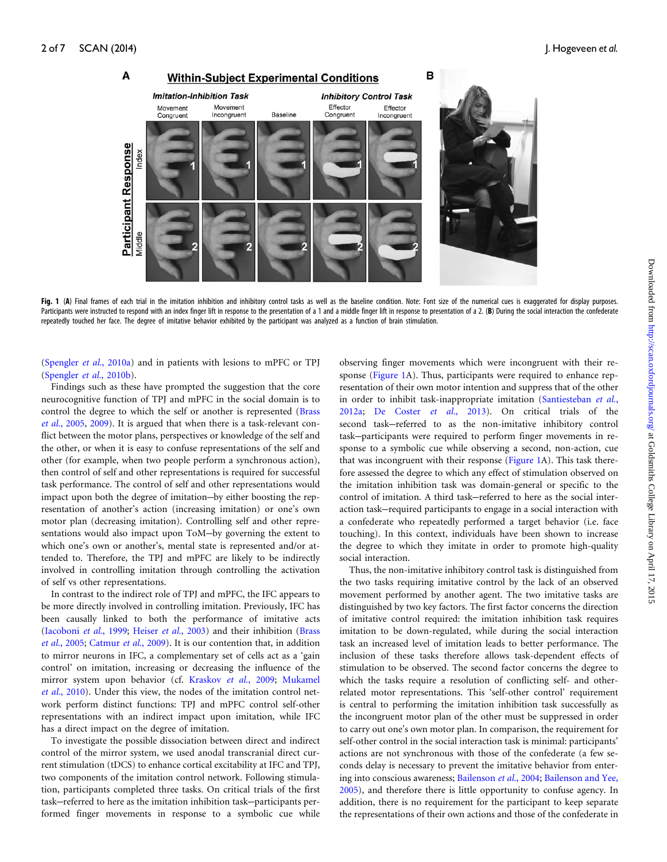<span id="page-1-0"></span>

Fig. 1 (A) Final frames of each trial in the imitation inhibition and inhibitory control tasks as well as the baseline condition. Note: Font size of the numerical cues is exaggerated for display purposes. Participants were instructed to respond with an index finger lift in response to the presentation of a 1 and a middle finger lift in response to presentation of a 2. (B) During the social interaction the confederate repeatedly touched her face. The degree of imitative behavior exhibited by the participant was analyzed as a function of brain stimulation.

[\(Spengler](#page-6-0) et al., 2010a) and in patients with lesions to mPFC or TPJ [\(Spengler](#page-6-0) et al., 2010b).

Findings such as these have prompted the suggestion that the core neurocognitive function of TPJ and mPFC in the social domain is to control the degree to which the self or another is represented [\(Brass](#page-5-0) et al.[, 2005,](#page-5-0) [2009\)](#page-5-0). It is argued that when there is a task-relevant conflict between the motor plans, perspectives or knowledge of the self and the other, or when it is easy to confuse representations of the self and other (for example, when two people perform a synchronous action), then control of self and other representations is required for successful task performance. The control of self and other representations would impact upon both the degree of imitation-by either boosting the representation of another's action (increasing imitation) or one's own motor plan (decreasing imitation). Controlling self and other representations would also impact upon ToM-by governing the extent to which one's own or another's, mental state is represented and/or attended to. Therefore, the TPJ and mPFC are likely to be indirectly involved in controlling imitation through controlling the activation of self vs other representations.

In contrast to the indirect role of TPJ and mPFC, the IFC appears to be more directly involved in controlling imitation. Previously, IFC has been causally linked to both the performance of imitative acts [\(Iacoboni](#page-5-0) et al., 1999; [Heiser](#page-5-0) et al., 2003) and their inhibition [\(Brass](#page-5-0) et al.[, 2005](#page-5-0); [Catmur](#page-5-0) et al., 2009). It is our contention that, in addition to mirror neurons in IFC, a complementary set of cells act as a 'gain control' on imitation, increasing or decreasing the influence of the mirror system upon behavior (cf. [Kraskov](#page-5-0) et al., 2009; [Mukamel](#page-5-0) et al.[, 2010](#page-5-0)). Under this view, the nodes of the imitation control network perform distinct functions: TPJ and mPFC control self-other representations with an indirect impact upon imitation, while IFC has a direct impact on the degree of imitation.

To investigate the possible dissociation between direct and indirect control of the mirror system, we used anodal transcranial direct current stimulation (tDCS) to enhance cortical excitability at IFC and TPJ, two components of the imitation control network. Following stimulation, participants completed three tasks. On critical trials of the first task-referred to here as the imitation inhibition task-participants performed finger movements in response to a symbolic cue while observing finger movements which were incongruent with their response (Figure 1A). Thus, participants were required to enhance representation of their own motor intention and suppress that of the other in order to inhibit task-inappropriate imitation [\(Santiesteban](#page-6-0) et al., [2012a;](#page-6-0) [De Coster](#page-5-0) et al., 2013). On critical trials of the second task-referred to as the non-imitative inhibitory control task-participants were required to perform finger movements in response to a symbolic cue while observing a second, non-action, cue that was incongruent with their response (Figure 1A). This task therefore assessed the degree to which any effect of stimulation observed on the imitation inhibition task was domain-general or specific to the control of imitation. A third task-referred to here as the social interaction task-required participants to engage in a social interaction with a confederate who repeatedly performed a target behavior (i.e. face touching). In this context, individuals have been shown to increase the degree to which they imitate in order to promote high-quality social interaction.

Thus, the non-imitative inhibitory control task is distinguished from the two tasks requiring imitative control by the lack of an observed movement performed by another agent. The two imitative tasks are distinguished by two key factors. The first factor concerns the direction of imitative control required: the imitation inhibition task requires imitation to be down-regulated, while during the social interaction task an increased level of imitation leads to better performance. The inclusion of these tasks therefore allows task-dependent effects of stimulation to be observed. The second factor concerns the degree to which the tasks require a resolution of conflicting self- and otherrelated motor representations. This 'self-other control' requirement is central to performing the imitation inhibition task successfully as the incongruent motor plan of the other must be suppressed in order to carry out one's own motor plan. In comparison, the requirement for self-other control in the social interaction task is minimal: participants' actions are not synchronous with those of the confederate (a few seconds delay is necessary to prevent the imitative behavior from entering into conscious awareness; [Bailenson](#page-5-0) et al., 2004; [Bailenson and Yee,](#page-5-0) [2005\)](#page-5-0), and therefore there is little opportunity to confuse agency. In addition, there is no requirement for the participant to keep separate the representations of their own actions and those of the confederate in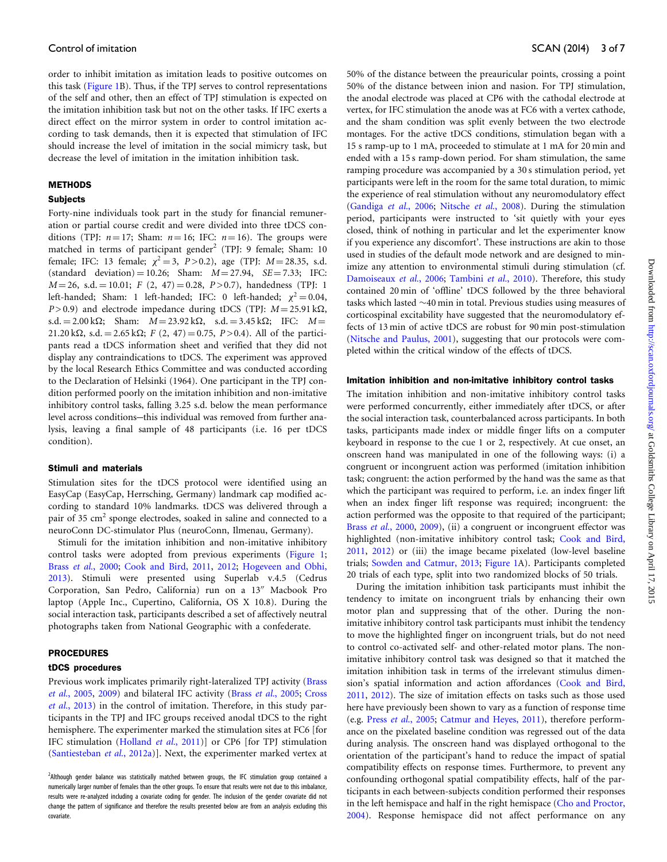order to inhibit imitation as imitation leads to positive outcomes on this task [\(Figure 1B](#page-1-0)). Thus, if the TPJ serves to control representations of the self and other, then an effect of TPJ stimulation is expected on the imitation inhibition task but not on the other tasks. If IFC exerts a direct effect on the mirror system in order to control imitation according to task demands, then it is expected that stimulation of IFC should increase the level of imitation in the social mimicry task, but decrease the level of imitation in the imitation inhibition task.

# METHODS

### Subjects

Forty-nine individuals took part in the study for financial remuneration or partial course credit and were divided into three tDCS conditions (TPJ:  $n = 17$ ; Sham:  $n = 16$ ; IFC:  $n = 16$ ). The groups were matched in terms of participant gender<sup>2</sup> (TPJ: 9 female; Sham: 10 female; IFC: 13 female;  $\chi^2 = 3$ ,  $P > 0.2$ ), age (TPJ:  $M = 28.35$ , s.d. (standard deviation) = 10.26; Sham:  $M = 27.94$ ,  $SE = 7.33$ ; IFC:  $M = 26$ , s.d. = 10.01;  $F (2, 47) = 0.28$ ,  $P > 0.7$ ), handedness (TPJ: 1 left-handed; Sham: 1 left-handed; IFC: 0 left-handed;  $\chi^2$  = 0.04,  $P > 0.9$ ) and electrode impedance during tDCS (TPJ:  $M = 25.91 \text{ k}\Omega$ ,  $s.d. = 2.00 \text{ k}\Omega$ ; Sham:  $M = 23.92 \text{ k}\Omega$ ,  $s.d. = 3.45 \text{ k}\Omega$ ; IFC:  $M =$  $21.20 \text{ k}\Omega$ , s.d. =  $2.65 \text{ k}\Omega$ ;  $F(2, 47) = 0.75$ ,  $P > 0.4$ ). All of the participants read a tDCS information sheet and verified that they did not display any contraindications to tDCS. The experiment was approved by the local Research Ethics Committee and was conducted according to the Declaration of Helsinki (1964). One participant in the TPJ condition performed poorly on the imitation inhibition and non-imitative inhibitory control tasks, falling 3.25 s.d. below the mean performance level across conditions-this individual was removed from further analysis, leaving a final sample of 48 participants (i.e. 16 per tDCS condition).

# Stimuli and materials

Stimulation sites for the tDCS protocol were identified using an EasyCap (EasyCap, Herrsching, Germany) landmark cap modified according to standard 10% landmarks. tDCS was delivered through a pair of 35 cm<sup>2</sup> sponge electrodes, soaked in saline and connected to a neuroConn DC-stimulator Plus (neuroConn, Ilmenau, Germany).

Stimuli for the imitation inhibition and non-imitative inhibitory control tasks were adopted from previous experiments ([Figure 1](#page-1-0); Brass et al.[, 2000;](#page-5-0) [Cook and Bird, 2011,](#page-5-0) [2012;](#page-5-0) [Hogeveen and Obhi,](#page-5-0) [2013\)](#page-5-0). Stimuli were presented using Superlab v.4.5 (Cedrus Corporation, San Pedro, California) run on a 13" Macbook Pro laptop (Apple Inc., Cupertino, California, OS X 10.8). During the social interaction task, participants described a set of affectively neutral photographs taken from National Geographic with a confederate.

# PROCEDURES

# tDCS procedures

Previous work implicates primarily right-lateralized TPJ activity ([Brass](#page-5-0) et al.[, 2005,](#page-5-0) [2009](#page-5-0)) and bilateral IFC activity (Brass et al.[, 2005;](#page-5-0) [Cross](#page-5-0) et al.[, 2013\)](#page-5-0) in the control of imitation. Therefore, in this study participants in the TPJ and IFC groups received anodal tDCS to the right hemisphere. The experimenter marked the stimulation sites at FC6 [for IFC stimulation ([Holland](#page-5-0) et al., 2011)] or CP6 [for TPJ stimulation ([Santiesteban](#page-6-0) et al., 2012a)]. Next, the experimenter marked vertex at 50% of the distance between the preauricular points, crossing a point 50% of the distance between inion and nasion. For TPJ stimulation, the anodal electrode was placed at CP6 with the cathodal electrode at vertex, for IFC stimulation the anode was at FC6 with a vertex cathode, and the sham condition was split evenly between the two electrode montages. For the active tDCS conditions, stimulation began with a 15 s ramp-up to 1 mA, proceeded to stimulate at 1 mA for 20 min and ended with a 15 s ramp-down period. For sham stimulation, the same ramping procedure was accompanied by a 30 s stimulation period, yet participants were left in the room for the same total duration, to mimic the experience of real stimulation without any neuromodulatory effect ([Gandiga](#page-5-0) et al., 2006; [Nitsche](#page-5-0) et al., 2008). During the stimulation period, participants were instructed to 'sit quietly with your eyes closed, think of nothing in particular and let the experimenter know if you experience any discomfort'. These instructions are akin to those used in studies of the default mode network and are designed to minimize any attention to environmental stimuli during stimulation (cf. [Damoiseaux](#page-5-0) et al., 2006; [Tambini](#page-6-0) et al., 2010). Therefore, this study contained 20 min of 'offline' tDCS followed by the three behavioral tasks which lasted  $\sim$ 40 min in total. Previous studies using measures of corticospinal excitability have suggested that the neuromodulatory effects of 13 min of active tDCS are robust for 90 min post-stimulation ([Nitsche and Paulus, 2001](#page-5-0)), suggesting that our protocols were completed within the critical window of the effects of tDCS.

# Imitation inhibition and non-imitative inhibitory control tasks

The imitation inhibition and non-imitative inhibitory control tasks were performed concurrently, either immediately after tDCS, or after the social interaction task, counterbalanced across participants. In both tasks, participants made index or middle finger lifts on a computer keyboard in response to the cue 1 or 2, respectively. At cue onset, an onscreen hand was manipulated in one of the following ways: (i) a congruent or incongruent action was performed (imitation inhibition task; congruent: the action performed by the hand was the same as that which the participant was required to perform, i.e. an index finger lift when an index finger lift response was required; incongruent: the action performed was the opposite to that required of the participant; Brass et al.[, 2000](#page-5-0), [2009\)](#page-5-0), (ii) a congruent or incongruent effector was highlighted (non-imitative inhibitory control task; [Cook and Bird,](#page-5-0) [2011,](#page-5-0) [2012\)](#page-5-0) or (iii) the image became pixelated (low-level baseline trials; [Sowden and Catmur, 2013](#page-6-0); [Figure 1A](#page-1-0)). Participants completed 20 trials of each type, split into two randomized blocks of 50 trials.

During the imitation inhibition task participants must inhibit the tendency to imitate on incongruent trials by enhancing their own motor plan and suppressing that of the other. During the nonimitative inhibitory control task participants must inhibit the tendency to move the highlighted finger on incongruent trials, but do not need to control co-activated self- and other-related motor plans. The nonimitative inhibitory control task was designed so that it matched the imitation inhibition task in terms of the irrelevant stimulus dimension's spatial information and action affordances [\(Cook and Bird,](#page-5-0) [2011,](#page-5-0) [2012\)](#page-5-0). The size of imitation effects on tasks such as those used here have previously been shown to vary as a function of response time (e.g. Press et al.[, 2005](#page-6-0); [Catmur and Heyes, 2011\)](#page-5-0), therefore performance on the pixelated baseline condition was regressed out of the data during analysis. The onscreen hand was displayed orthogonal to the orientation of the participant's hand to reduce the impact of spatial compatibility effects on response times. Furthermore, to prevent any confounding orthogonal spatial compatibility effects, half of the participants in each between-subjects condition performed their responses in the left hemispace and half in the right hemispace ([Cho and Proctor,](#page-5-0) [2004\)](#page-5-0). Response hemispace did not affect performance on any

<sup>&</sup>lt;sup>2</sup>Although gender balance was statistically matched between groups, the IFC stimulation group contained a numerically larger number of females than the other groups. To ensure that results were not due to this imbalance, results were re-analyzed including a covariate coding for gender. The inclusion of the gender covariate did not change the pattern of significance and therefore the results presented below are from an analysis excluding this covariate.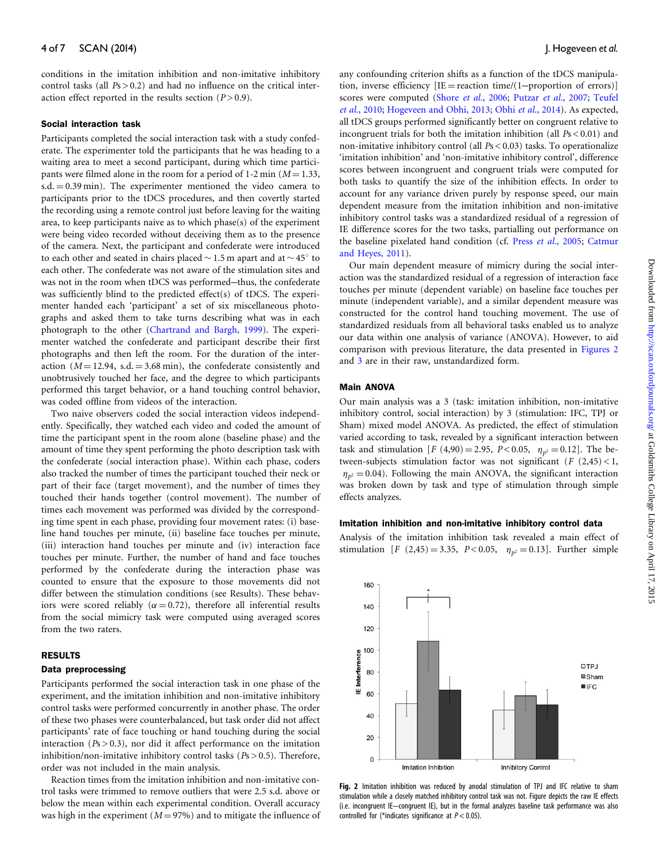<span id="page-3-0"></span>conditions in the imitation inhibition and non-imitative inhibitory control tasks (all  $Ps > 0.2$ ) and had no influence on the critical interaction effect reported in the results section  $(P > 0.9)$ .

# Social interaction task

Participants completed the social interaction task with a study confederate. The experimenter told the participants that he was heading to a waiting area to meet a second participant, during which time participants were filmed alone in the room for a period of 1-2 min  $(M = 1.33)$ ,  $s.d. = 0.39 \text{ min}$ . The experimenter mentioned the video camera to participants prior to the tDCS procedures, and then covertly started the recording using a remote control just before leaving for the waiting area, to keep participants naive as to which phase(s) of the experiment were being video recorded without deceiving them as to the presence of the camera. Next, the participant and confederate were introduced to each other and seated in chairs placed  $\sim$  1.5 m apart and at  $\sim$  45 $^{\circ}$  to each other. The confederate was not aware of the stimulation sites and was not in the room when tDCS was performed-thus, the confederate was sufficiently blind to the predicted effect(s) of tDCS. The experimenter handed each 'participant' a set of six miscellaneous photographs and asked them to take turns describing what was in each photograph to the other ([Chartrand and Bargh, 1999](#page-5-0)). The experimenter watched the confederate and participant describe their first photographs and then left the room. For the duration of the interaction ( $M = 12.94$ , s.d. = 3.68 min), the confederate consistently and unobtrusively touched her face, and the degree to which participants performed this target behavior, or a hand touching control behavior, was coded offline from videos of the interaction.

Two naive observers coded the social interaction videos independently. Specifically, they watched each video and coded the amount of time the participant spent in the room alone (baseline phase) and the amount of time they spent performing the photo description task with the confederate (social interaction phase). Within each phase, coders also tracked the number of times the participant touched their neck or part of their face (target movement), and the number of times they touched their hands together (control movement). The number of times each movement was performed was divided by the corresponding time spent in each phase, providing four movement rates: (i) baseline hand touches per minute, (ii) baseline face touches per minute, (iii) interaction hand touches per minute and (iv) interaction face touches per minute. Further, the number of hand and face touches performed by the confederate during the interaction phase was counted to ensure that the exposure to those movements did not differ between the stimulation conditions (see Results). These behaviors were scored reliably ( $\alpha = 0.72$ ), therefore all inferential results from the social mimicry task were computed using averaged scores from the two raters.

# RESULTS

# Data preprocessing

Participants performed the social interaction task in one phase of the experiment, and the imitation inhibition and non-imitative inhibitory control tasks were performed concurrently in another phase. The order of these two phases were counterbalanced, but task order did not affect participants' rate of face touching or hand touching during the social interaction ( $Ps > 0.3$ ), nor did it affect performance on the imitation inhibition/non-imitative inhibitory control tasks ( $Ps$  > 0.5). Therefore, order was not included in the main analysis.

Reaction times from the imitation inhibition and non-imitative control tasks were trimmed to remove outliers that were 2.5 s.d. above or below the mean within each experimental condition. Overall accuracy was high in the experiment  $(M = 97%)$  and to mitigate the influence of any confounding criterion shifts as a function of the tDCS manipulation, inverse efficiency  $[IE = reaction time/(1–proportion of errors)]$ scores were computed (Shore et al.[, 2006](#page-6-0); [Putzar](#page-6-0) et al., 2007; [Teufel](#page-6-0) et al.[, 2010;](#page-6-0) [Hogeveen and Obhi, 2013](#page-5-0); Obhi et al.[, 2014\)](#page-5-0). As expected, all tDCS groups performed significantly better on congruent relative to incongruent trials for both the imitation inhibition (all  $Ps < 0.01$ ) and non-imitative inhibitory control (all  $Ps < 0.03$ ) tasks. To operationalize 'imitation inhibition' and 'non-imitative inhibitory control', difference scores between incongruent and congruent trials were computed for both tasks to quantify the size of the inhibition effects. In order to account for any variance driven purely by response speed, our main dependent measure from the imitation inhibition and non-imitative inhibitory control tasks was a standardized residual of a regression of IE difference scores for the two tasks, partialling out performance on the baseline pixelated hand condition (cf. Press et al.[, 2005](#page-6-0); [Catmur](#page-5-0) [and Heyes, 2011](#page-5-0)).

Our main dependent measure of mimicry during the social interaction was the standardized residual of a regression of interaction face touches per minute (dependent variable) on baseline face touches per minute (independent variable), and a similar dependent measure was constructed for the control hand touching movement. The use of standardized residuals from all behavioral tasks enabled us to analyze our data within one analysis of variance (ANOVA). However, to aid comparison with previous literature, the data presented in Figures 2 and [3](#page-4-0) are in their raw, unstandardized form.

# Main ANOVA

Our main analysis was a 3 (task: imitation inhibition, non-imitative inhibitory control, social interaction) by 3 (stimulation: IFC, TPJ or Sham) mixed model ANOVA. As predicted, the effect of stimulation varied according to task, revealed by a significant interaction between task and stimulation [F (4,90) = 2.95, P < 0.05,  $\eta_{p^2} = 0.12$ ]. The between-subjects stimulation factor was not significant ( $F(2,45) < 1$ ,  $\eta_{p^2} = 0.04$ ). Following the main ANOVA, the significant interaction was broken down by task and type of stimulation through simple effects analyzes.

# Imitation inhibition and non-imitative inhibitory control data

Analysis of the imitation inhibition task revealed a main effect of stimulation [F (2,45) = 3.35, P < 0.05,  $\eta_{p^2} = 0.13$ ]. Further simple



Fig. 2 Imitation inhibition was reduced by anodal stimulation of TPJ and IFC relative to sham stimulation while a closely matched inhibitory control task was not. Figure depicts the raw IE effects (i.e. incongruent IE-congruent IE), but in the formal analyzes baseline task performance was also controlled for (\*indicates significance at  $P < 0.05$ ).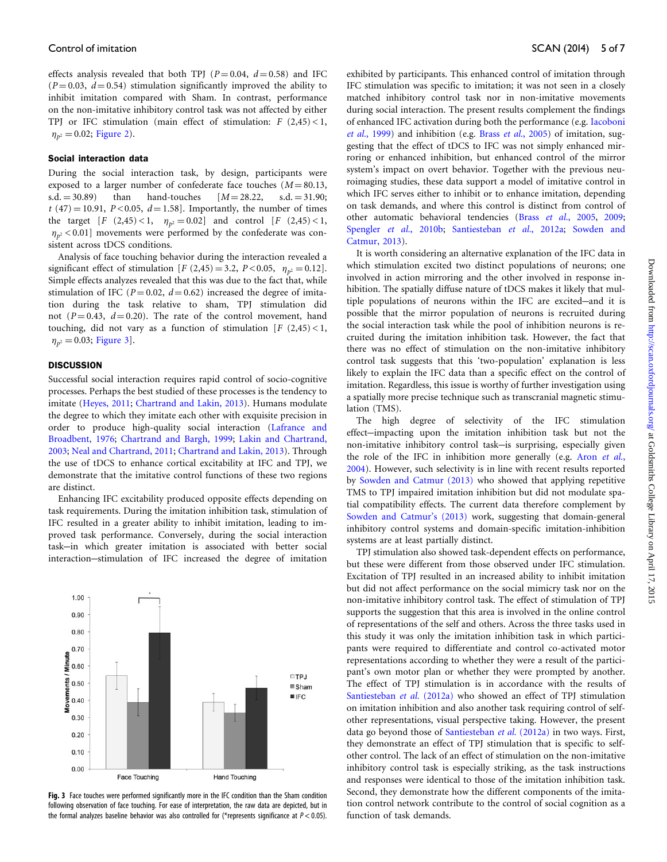<span id="page-4-0"></span>effects analysis revealed that both TPJ ( $P = 0.04$ ,  $d = 0.58$ ) and IFC  $(P = 0.03, d = 0.54)$  stimulation significantly improved the ability to inhibit imitation compared with Sham. In contrast, performance on the non-imitative inhibitory control task was not affected by either TPJ or IFC stimulation (main effect of stimulation:  $F(2,45) < 1$ ,  $\eta_{p^2} = 0.02$ ; [Figure 2](#page-3-0)).

## Social interaction data

During the social interaction task, by design, participants were exposed to a larger number of confederate face touches  $(M = 80.13,$ s.d.  $= 30.89$  than hand-touches  $[M = 28.22, s.d. = 31.90;$  $t(47) = 10.91, P < 0.05, d = 1.58$ . Importantly, the number of times the target  $[F (2,45) < 1, \eta_{p^2} = 0.02]$  and control  $[F (2,45) < 1,$  $\eta_{p^2}$  < 0.01] movements were performed by the confederate was consistent across tDCS conditions.

Analysis of face touching behavior during the interaction revealed a significant effect of stimulation  $[F (2,45) = 3.2, P < 0.05, \eta_{n^2} = 0.12].$ Simple effects analyzes revealed that this was due to the fact that, while stimulation of IFC ( $P = 0.02$ ,  $d = 0.62$ ) increased the degree of imitation during the task relative to sham, TPJ stimulation did not ( $P = 0.43$ ,  $d = 0.20$ ). The rate of the control movement, hand touching, did not vary as a function of stimulation  $[F (2,45) < 1,$  $\eta_{p^2} = 0.03$ ; Figure 3.

# **DISCUSSION**

Successful social interaction requires rapid control of socio-cognitive processes. Perhaps the best studied of these processes is the tendency to imitate ([Heyes, 2011;](#page-5-0) [Chartrand and Lakin, 2013\)](#page-5-0). Humans modulate the degree to which they imitate each other with exquisite precision in order to produce high-quality social interaction [\(Lafrance and](#page-5-0) [Broadbent, 1976](#page-5-0); [Chartrand and Bargh, 1999;](#page-5-0) [Lakin and Chartrand,](#page-5-0) [2003;](#page-5-0) [Neal and Chartrand, 2011](#page-5-0); [Chartrand and Lakin, 2013\)](#page-5-0). Through the use of tDCS to enhance cortical excitability at IFC and TPJ, we demonstrate that the imitative control functions of these two regions are distinct.

Enhancing IFC excitability produced opposite effects depending on task requirements. During the imitation inhibition task, stimulation of IFC resulted in a greater ability to inhibit imitation, leading to improved task performance. Conversely, during the social interaction task-in which greater imitation is associated with better social interaction-stimulation of IFC increased the degree of imitation



Fig. 3 Face touches were performed significantly more in the IFC condition than the Sham condition following observation of face touching. For ease of interpretation, the raw data are depicted, but in the formal analyzes baseline behavior was also controlled for (\*represents significance at  $P < 0.05$ ). exhibited by participants. This enhanced control of imitation through IFC stimulation was specific to imitation; it was not seen in a closely matched inhibitory control task nor in non-imitative movements during social interaction. The present results complement the findings of enhanced IFC activation during both the performance (e.g. [Iacoboni](#page-5-0) et al.[, 1999\)](#page-5-0) and inhibition (e.g. Brass et al.[, 2005\)](#page-5-0) of imitation, suggesting that the effect of tDCS to IFC was not simply enhanced mirroring or enhanced inhibition, but enhanced control of the mirror system's impact on overt behavior. Together with the previous neuroimaging studies, these data support a model of imitative control in which IFC serves either to inhibit or to enhance imitation, depending on task demands, and where this control is distinct from control of other automatic behavioral tendencies (Brass et al.[, 2005,](#page-5-0) [2009](#page-5-0); [Spengler](#page-6-0) et al., 2010b; [Santiesteban](#page-6-0) et al., 2012a; [Sowden and](#page-6-0) [Catmur, 2013\)](#page-6-0).

It is worth considering an alternative explanation of the IFC data in which stimulation excited two distinct populations of neurons; one involved in action mirroring and the other involved in response inhibition. The spatially diffuse nature of tDCS makes it likely that multiple populations of neurons within the IFC are excited-and it is possible that the mirror population of neurons is recruited during the social interaction task while the pool of inhibition neurons is recruited during the imitation inhibition task. However, the fact that there was no effect of stimulation on the non-imitative inhibitory control task suggests that this 'two-population' explanation is less likely to explain the IFC data than a specific effect on the control of imitation. Regardless, this issue is worthy of further investigation using a spatially more precise technique such as transcranial magnetic stimulation (TMS).

The high degree of selectivity of the IFC stimulation effect-impacting upon the imitation inhibition task but not the non-imitative inhibitory control task-is surprising, especially given the role of the IFC in inhibition more generally (e.g. Aron [et al.](#page-5-0), [2004\)](#page-5-0). However, such selectivity is in line with recent results reported by [Sowden and Catmur \(2013\)](#page-6-0) who showed that applying repetitive TMS to TPJ impaired imitation inhibition but did not modulate spatial compatibility effects. The current data therefore complement by [Sowden and Catmur's \(2013\)](#page-6-0) work, suggesting that domain-general inhibitory control systems and domain-specific imitation-inhibition systems are at least partially distinct.

TPJ stimulation also showed task-dependent effects on performance, but these were different from those observed under IFC stimulation. Excitation of TPJ resulted in an increased ability to inhibit imitation but did not affect performance on the social mimicry task nor on the non-imitative inhibitory control task. The effect of stimulation of TPJ supports the suggestion that this area is involved in the online control of representations of the self and others. Across the three tasks used in this study it was only the imitation inhibition task in which participants were required to differentiate and control co-activated motor representations according to whether they were a result of the participant's own motor plan or whether they were prompted by another. The effect of TPJ stimulation is in accordance with the results of [Santiesteban](#page-6-0) et al. (2012a) who showed an effect of TPJ stimulation on imitation inhibition and also another task requiring control of selfother representations, visual perspective taking. However, the present data go beyond those of [Santiesteban](#page-6-0) et al. (2012a) in two ways. First, they demonstrate an effect of TPJ stimulation that is specific to selfother control. The lack of an effect of stimulation on the non-imitative inhibitory control task is especially striking, as the task instructions and responses were identical to those of the imitation inhibition task. Second, they demonstrate how the different components of the imitation control network contribute to the control of social cognition as a function of task demands.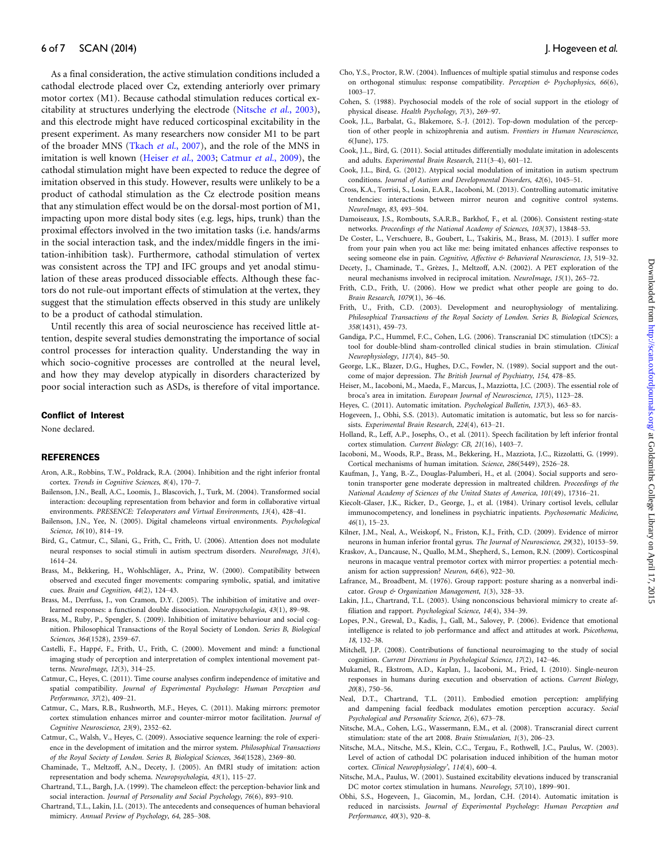<span id="page-5-0"></span>As a final consideration, the active stimulation conditions included a cathodal electrode placed over Cz, extending anteriorly over primary motor cortex (M1). Because cathodal stimulation reduces cortical excitability at structures underlying the electrode (Nitsche et al., 2003), and this electrode might have reduced corticospinal excitability in the present experiment. As many researchers now consider M1 to be part of the broader MNS (Tkach et al.[, 2007](#page-6-0)), and the role of the MNS in imitation is well known (Heiser et al., 2003; Catmur et al., 2009), the cathodal stimulation might have been expected to reduce the degree of imitation observed in this study. However, results were unlikely to be a product of cathodal stimulation as the Cz electrode position means that any stimulation effect would be on the dorsal-most portion of M1, impacting upon more distal body sites (e.g. legs, hips, trunk) than the proximal effectors involved in the two imitation tasks (i.e. hands/arms in the social interaction task, and the index/middle fingers in the imitation-inhibition task). Furthermore, cathodal stimulation of vertex was consistent across the TPJ and IFC groups and yet anodal stimulation of these areas produced dissociable effects. Although these factors do not rule-out important effects of stimulation at the vertex, they suggest that the stimulation effects observed in this study are unlikely to be a product of cathodal stimulation.

Until recently this area of social neuroscience has received little attention, despite several studies demonstrating the importance of social control processes for interaction quality. Understanding the way in which socio-cognitive processes are controlled at the neural level, and how they may develop atypically in disorders characterized by poor social interaction such as ASDs, is therefore of vital importance.

# Conflict of Interest

None declared.

# **REFERENCES**

- Aron, A.R., Robbins, T.W., Poldrack, R.A. (2004). Inhibition and the right inferior frontal cortex. Trends in Cognitive Sciences, 8(4), 170–7.
- Bailenson, J.N., Beall, A.C., Loomis, J., Blascovich, J., Turk, M. (2004). Transformed social interaction: decoupling representation from behavior and form in collaborative virtual environments. PRESENCE: Teleoperators and Virtual Environments, 13(4), 428–41.
- Bailenson, J.N., Yee, N. (2005). Digital chameleons virtual environments. Psychological Science, 16(10), 814-19.
- Bird, G., Catmur, C., Silani, G., Frith, C., Frith, U. (2006). Attention does not modulate neural responses to social stimuli in autism spectrum disorders. NeuroImage, 31(4), 1614–24.
- Brass, M., Bekkering, H., Wohlschläger, A., Prinz, W. (2000). Compatibility between observed and executed finger movements: comparing symbolic, spatial, and imitative cues. Brain and Cognition, 44(2), 124–43.
- Brass, M., Derrfuss, J., von Cramon, D.Y. (2005). The inhibition of imitative and overlearned responses: a functional double dissociation. Neuropsychologia, 43(1), 89–98.
- Brass, M., Ruby, P., Spengler, S. (2009). Inhibition of imitative behaviour and social cognition. Philosophical Transactions of the Royal Society of London. Series B, Biological Sciences, 364(1528), 2359–67.
- Castelli, F., Happé, F., Frith, U., Frith, C. (2000). Movement and mind: a functional imaging study of perception and interpretation of complex intentional movement patterns. NeuroImage, 12(3), 314–25.
- Catmur, C., Heyes, C. (2011). Time course analyses confirm independence of imitative and spatial compatibility. Journal of Experimental Psychology: Human Perception and Performance, 37(2), 409–21.
- Catmur, C., Mars, R.B., Rushworth, M.F., Heyes, C. (2011). Making mirrors: premotor cortex stimulation enhances mirror and counter-mirror motor facilitation. Journal of Cognitive Neuroscience, 23(9), 2352–62.
- Catmur, C., Walsh, V., Heyes, C. (2009). Associative sequence learning: the role of experience in the development of imitation and the mirror system. Philosophical Transactions of the Royal Society of London. Series B, Biological Sciences, 364(1528), 2369–80.
- Chaminade, T., Meltzoff, A.N., Decety, J. (2005). An fMRI study of imitation: action representation and body schema. Neuropsychologia, 43(1), 115–27.
- Chartrand, T.L., Bargh, J.A. (1999). The chameleon effect: the perception-behavior link and social interaction. Journal of Personality and Social Psychology, 76(6), 893–910.
- Chartrand, T.L., Lakin, J.L. (2013). The antecedents and consequences of human behavioral mimicry. Annual Peview of Psychology, 64, 285–308.
- Cho, Y.S., Proctor, R.W. (2004). Influences of multiple spatial stimulus and response codes on orthogonal stimulus: response compatibility. Perception & Psychophysics, 66(6), 1003–17.
- Cohen, S. (1988). Psychosocial models of the role of social support in the etiology of physical disease. Health Psychology, 7(3), 269–97.
- Cook, J.L., Barbalat, G., Blakemore, S.-J. (2012). Top-down modulation of the perception of other people in schizophrenia and autism. Frontiers in Human Neuroscience, 6(June), 175.
- Cook, J.L., Bird, G. (2011). Social attitudes differentially modulate imitation in adolescents and adults. Experimental Brain Research, 211(3–4), 601–12.
- Cook, J.L., Bird, G. (2012). Atypical social modulation of imitation in autism spectrum conditions. Journal of Autism and Developmental Disorders, 42(6), 1045–51.
- Cross, K.A., Torrisi, S., Losin, E.A.R., Iacoboni, M. (2013). Controlling automatic imitative tendencies: interactions between mirror neuron and cognitive control systems. NeuroImage, 83, 493–504.
- Damoiseaux, J.S., Rombouts, S.A.R.B., Barkhof, F., et al. (2006). Consistent resting-state networks. Proceedings of the National Academy of Sciences, 103(37), 13848–53.
- De Coster, L., Verschuere, B., Goubert, L., Tsakiris, M., Brass, M. (2013). I suffer more from your pain when you act like me: being imitated enhances affective responses to seeing someone else in pain. Cognitive, Affective & Behavioral Neuroscience, 13, 519-32.
- Decety, J., Chaminade, T., Grèzes, J., Meltzoff, A.N. (2002). A PET exploration of the neural mechanisms involved in reciprocal imitation. NeuroImage, 15(1), 265–72.
- Frith, C.D., Frith, U. (2006). How we predict what other people are going to do. Brain Research, 1079(1), 36–46.
- Frith, U., Frith, C.D. (2003). Development and neurophysiology of mentalizing. Philosophical Transactions of the Royal Society of London. Series B, Biological Sciences, 358(1431), 459–73.
- Gandiga, P.C., Hummel, F.C., Cohen, L.G. (2006). Transcranial DC stimulation (tDCS): a tool for double-blind sham-controlled clinical studies in brain stimulation. Clinical Neurophysiology, 117(4), 845–50.
- George, L.K., Blazer, D.G., Hughes, D.C., Fowler, N. (1989). Social support and the outcome of major depression. The British Journal of Psychiatry, 154, 478–85.
- Heiser, M., Iacoboni, M., Maeda, F., Marcus, J., Mazziotta, J.C. (2003). The essential role of broca's area in imitation. European Journal of Neuroscience, 17(5), 1123–28.
- Heyes, C. (2011). Automatic imitation. Psychological Bulletin, 137(3), 463–83.
- Hogeveen, J., Obhi, S.S. (2013). Automatic imitation is automatic, but less so for narcissists. Experimental Brain Research, 224(4), 613–21.
- Holland, R., Leff, A.P., Josephs, O., et al. (2011). Speech facilitation by left inferior frontal cortex stimulation. Current Biology: CB, 21(16), 1403–7.
- Iacoboni, M., Woods, R.P., Brass, M., Bekkering, H., Mazziota, J.C., Rizzolatti, G. (1999). Cortical mechanisms of human imitation. Science, 286(5449), 2526–28.
- Kaufman, J., Yang, B.-Z., Douglas-Palumberi, H., et al. (2004). Social supports and serotonin transporter gene moderate depression in maltreated children. Proceedings of the National Academy of Sciences of the United States of America, 101(49), 17316–21.
- Kiecolt-Glaser, J.K., Ricker, D., George, J., et al. (1984). Urinary cortisol levels, cellular immunocompetency, and loneliness in psychiatric inpatients. Psychosomatic Medicine, 46(1), 15–23.
- Kilner, J.M., Neal, A., Weiskopf, N., Friston, K.J., Frith, C.D. (2009). Evidence of mirror neurons in human inferior frontal gyrus. The Journal of Neuroscience, 29(32), 10153–59.
- Kraskov, A., Dancause, N., Quallo, M.M., Shepherd, S., Lemon, R.N. (2009). Corticospinal neurons in macaque ventral premotor cortex with mirror properties: a potential mechanism for action suppression? Neuron, 64(6), 922–30.
- Lafrance, M., Broadbent, M. (1976). Group rapport: posture sharing as a nonverbal indicator. Group & Organization Management,  $1(3)$ , 328-33.
- Lakin, J.L., Chartrand, T.L. (2003). Using nonconscious behavioral mimicry to create affiliation and rapport. Psychological Science, 14(4), 334–39.
- Lopes, P.N., Grewal, D., Kadis, J., Gall, M., Salovey, P. (2006). Evidence that emotional intelligence is related to job performance and affect and attitudes at work. Psicothema, 18, 132–38.
- Mitchell, J.P. (2008). Contributions of functional neuroimaging to the study of social cognition. Current Directions in Psychological Science, 17(2), 142–46.
- Mukamel, R., Ekstrom, A.D., Kaplan, J., Iacoboni, M., Fried, I. (2010). Single-neuron responses in humans during execution and observation of actions. Current Biology, 20(8), 750–56.
- Neal, D.T., Chartrand, T.L. (2011). Embodied emotion perception: amplifying and dampening facial feedback modulates emotion perception accuracy. Social Psychological and Personality Science, 2(6), 673–78.
- Nitsche, M.A., Cohen, L.G., Wassermann, E.M., et al. (2008). Transcranial direct current stimulation: state of the art 2008. Brain Stimulation, 1(3), 206–23.
- Nitsche, M.A., Nitsche, M.S., Klein, C.C., Tergau, F., Rothwell, J.C., Paulus, W. (2003). Level of action of cathodal DC polarisation induced inhibition of the human motor cortex. Clinical Neurophysiology', 114(4), 600–4.
- Nitsche, M.A., Paulus, W. (2001). Sustained excitability elevations induced by transcranial DC motor cortex stimulation in humans. Neurology, 57(10), 1899–901.
- Obhi, S.S., Hogeveen, J., Giacomin, M., Jordan, C.H. (2014). Automatic imitation is reduced in narcissists. Journal of Experimental Psychology: Human Perception and Performance, 40(3), 920–8.